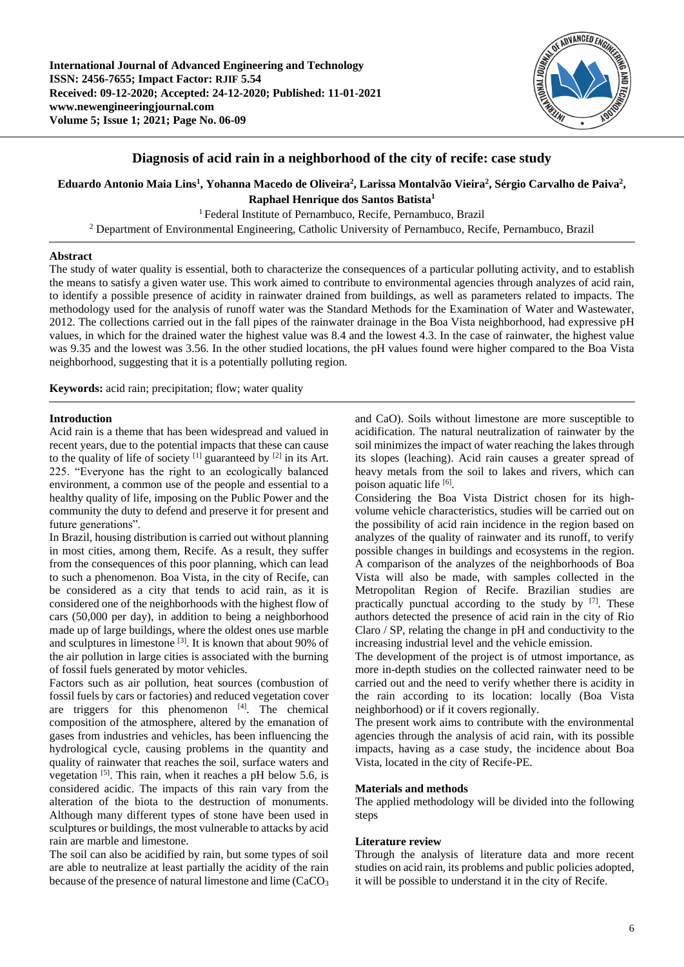

## **Diagnosis of acid rain in a neighborhood of the city of recife: case study**

**Eduardo Antonio Maia Lins<sup>1</sup> , Yohanna Macedo de Oliveira<sup>2</sup> , Larissa Montalvão Vieira<sup>2</sup> , Sérgio Carvalho de Paiva<sup>2</sup> , Raphael Henrique dos Santos Batista<sup>1</sup>**

<sup>1</sup> Federal Institute of Pernambuco, Recife, Pernambuco, Brazil

<sup>2</sup> Department of Environmental Engineering, Catholic University of Pernambuco, Recife, Pernambuco, Brazil

## **Abstract**

The study of water quality is essential, both to characterize the consequences of a particular polluting activity, and to establish the means to satisfy a given water use. This work aimed to contribute to environmental agencies through analyzes of acid rain, to identify a possible presence of acidity in rainwater drained from buildings, as well as parameters related to impacts. The methodology used for the analysis of runoff water was the Standard Methods for the Examination of Water and Wastewater, 2012. The collections carried out in the fall pipes of the rainwater drainage in the Boa Vista neighborhood, had expressive pH values, in which for the drained water the highest value was 8.4 and the lowest 4.3. In the case of rainwater, the highest value was 9.35 and the lowest was 3.56. In the other studied locations, the pH values found were higher compared to the Boa Vista neighborhood, suggesting that it is a potentially polluting region.

**Keywords:** acid rain; precipitation; flow; water quality

## **Introduction**

Acid rain is a theme that has been widespread and valued in recent years, due to the potential impacts that these can cause to the quality of life of society  $[1]$  guaranteed by  $[2]$  in its Art. 225. "Everyone has the right to an ecologically balanced environment, a common use of the people and essential to a healthy quality of life, imposing on the Public Power and the community the duty to defend and preserve it for present and future generations".

In Brazil, housing distribution is carried out without planning in most cities, among them, Recife. As a result, they suffer from the consequences of this poor planning, which can lead to such a phenomenon. Boa Vista, in the city of Recife, can be considered as a city that tends to acid rain, as it is considered one of the neighborhoods with the highest flow of cars (50,000 per day), in addition to being a neighborhood made up of large buildings, where the oldest ones use marble and sculptures in limestone<sup>[3]</sup>. It is known that about 90% of the air pollution in large cities is associated with the burning of fossil fuels generated by motor vehicles.

Factors such as air pollution, heat sources (combustion of fossil fuels by cars or factories) and reduced vegetation cover are triggers for this phenomenon  $[4]$ . The chemical composition of the atmosphere, altered by the emanation of gases from industries and vehicles, has been influencing the hydrological cycle, causing problems in the quantity and quality of rainwater that reaches the soil, surface waters and vegetation  $[5]$ . This rain, when it reaches a pH below 5.6, is considered acidic. The impacts of this rain vary from the alteration of the biota to the destruction of monuments. Although many different types of stone have been used in sculptures or buildings, the most vulnerable to attacks by acid rain are marble and limestone.

The soil can also be acidified by rain, but some types of soil are able to neutralize at least partially the acidity of the rain because of the presence of natural limestone and lime (CaCO<sub>3</sub>

and CaO). Soils without limestone are more susceptible to acidification. The natural neutralization of rainwater by the soil minimizes the impact of water reaching the lakes through its slopes (leaching). Acid rain causes a greater spread of heavy metals from the soil to lakes and rivers, which can poison aquatic life [6].

Considering the Boa Vista District chosen for its highvolume vehicle characteristics, studies will be carried out on the possibility of acid rain incidence in the region based on analyzes of the quality of rainwater and its runoff, to verify possible changes in buildings and ecosystems in the region. A comparison of the analyzes of the neighborhoods of Boa Vista will also be made, with samples collected in the Metropolitan Region of Recife. Brazilian studies are practically punctual according to the study by  $[7]$ . These authors detected the presence of acid rain in the city of Rio Claro / SP, relating the change in pH and conductivity to the increasing industrial level and the vehicle emission.

The development of the project is of utmost importance, as more in-depth studies on the collected rainwater need to be carried out and the need to verify whether there is acidity in the rain according to its location: locally (Boa Vista neighborhood) or if it covers regionally.

The present work aims to contribute with the environmental agencies through the analysis of acid rain, with its possible impacts, having as a case study, the incidence about Boa Vista, located in the city of Recife-PE.

## **Materials and methods**

The applied methodology will be divided into the following steps

## **Literature review**

Through the analysis of literature data and more recent studies on acid rain, its problems and public policies adopted, it will be possible to understand it in the city of Recife.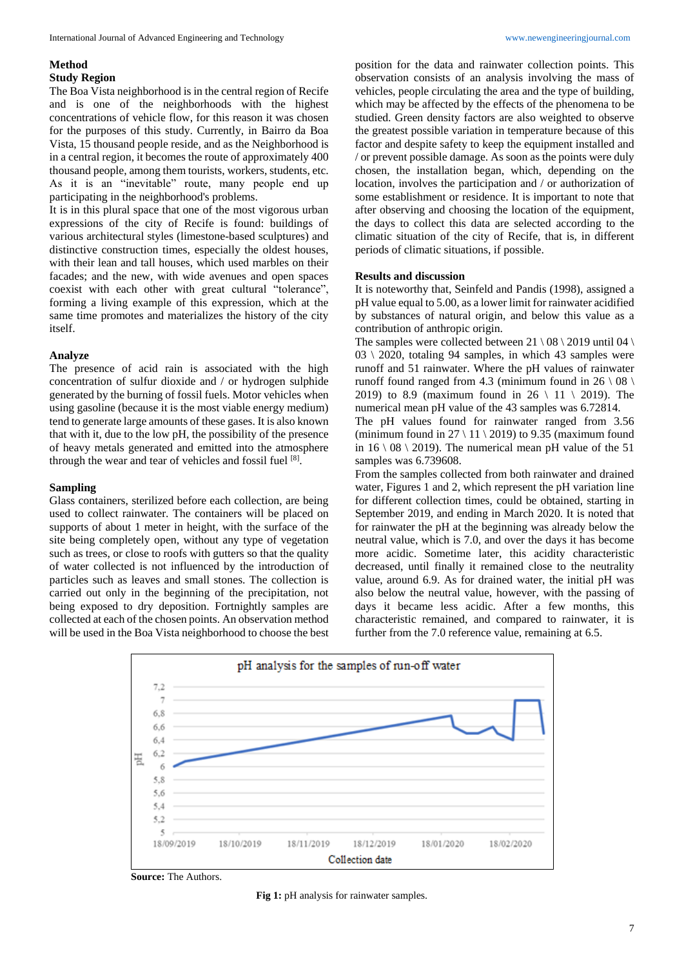# **Method**

## **Study Region**

The Boa Vista neighborhood is in the central region of Recife and is one of the neighborhoods with the highest concentrations of vehicle flow, for this reason it was chosen for the purposes of this study. Currently, in Bairro da Boa Vista, 15 thousand people reside, and as the Neighborhood is in a central region, it becomes the route of approximately 400 thousand people, among them tourists, workers, students, etc. As it is an "inevitable" route, many people end up participating in the neighborhood's problems.

It is in this plural space that one of the most vigorous urban expressions of the city of Recife is found: buildings of various architectural styles (limestone-based sculptures) and distinctive construction times, especially the oldest houses, with their lean and tall houses, which used marbles on their facades; and the new, with wide avenues and open spaces coexist with each other with great cultural "tolerance", forming a living example of this expression, which at the same time promotes and materializes the history of the city itself.

## **Analyze**

The presence of acid rain is associated with the high concentration of sulfur dioxide and / or hydrogen sulphide generated by the burning of fossil fuels. Motor vehicles when using gasoline (because it is the most viable energy medium) tend to generate large amounts of these gases. It is also known that with it, due to the low pH, the possibility of the presence of heavy metals generated and emitted into the atmosphere through the wear and tear of vehicles and fossil fuel [8].

## **Sampling**

Glass containers, sterilized before each collection, are being used to collect rainwater. The containers will be placed on supports of about 1 meter in height, with the surface of the site being completely open, without any type of vegetation such as trees, or close to roofs with gutters so that the quality of water collected is not influenced by the introduction of particles such as leaves and small stones. The collection is carried out only in the beginning of the precipitation, not being exposed to dry deposition. Fortnightly samples are collected at each of the chosen points. An observation method will be used in the Boa Vista neighborhood to choose the best

position for the data and rainwater collection points. This observation consists of an analysis involving the mass of vehicles, people circulating the area and the type of building, which may be affected by the effects of the phenomena to be studied. Green density factors are also weighted to observe the greatest possible variation in temperature because of this factor and despite safety to keep the equipment installed and / or prevent possible damage. As soon as the points were duly chosen, the installation began, which, depending on the location, involves the participation and / or authorization of some establishment or residence. It is important to note that after observing and choosing the location of the equipment, the days to collect this data are selected according to the climatic situation of the city of Recife, that is, in different periods of climatic situations, if possible.

## **Results and discussion**

It is noteworthy that, Seinfeld and Pandis (1998), assigned a pH value equal to 5.00, as a lower limit for rainwater acidified by substances of natural origin, and below this value as a contribution of anthropic origin.

The samples were collected between  $21 \setminus 08 \setminus 2019$  until 04  $\setminus$ 03 \ 2020, totaling 94 samples, in which 43 samples were runoff and 51 rainwater. Where the pH values of rainwater runoff found ranged from 4.3 (minimum found in 26  $\setminus$  08  $\setminus$ 2019) to 8.9 (maximum found in 26  $\setminus$  11  $\setminus$  2019). The numerical mean pH value of the 43 samples was 6.72814.

The pH values found for rainwater ranged from 3.56 (minimum found in  $27 \setminus 11 \setminus 2019$ ) to 9.35 (maximum found in  $16 \setminus 08 \setminus 2019$ . The numerical mean pH value of the 51 samples was 6.739608.

From the samples collected from both rainwater and drained water, Figures 1 and 2, which represent the pH variation line for different collection times, could be obtained, starting in September 2019, and ending in March 2020. It is noted that for rainwater the pH at the beginning was already below the neutral value, which is 7.0, and over the days it has become more acidic. Sometime later, this acidity characteristic decreased, until finally it remained close to the neutrality value, around 6.9. As for drained water, the initial pH was also below the neutral value, however, with the passing of days it became less acidic. After a few months, this characteristic remained, and compared to rainwater, it is further from the 7.0 reference value, remaining at 6.5.



**Source:** The Authors.

**Fig 1:** pH analysis for rainwater samples.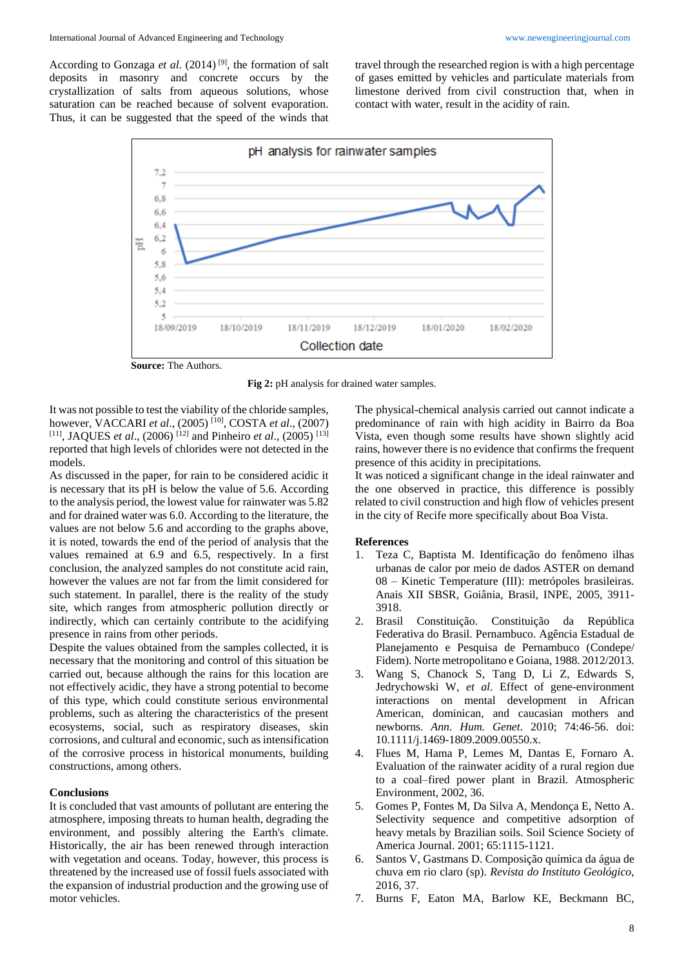According to Gonzaga et al. (2014)<sup>[9]</sup>, the formation of salt deposits in masonry and concrete occurs by the crystallization of salts from aqueous solutions, whose saturation can be reached because of solvent evaporation. Thus, it can be suggested that the speed of the winds that travel through the researched region is with a high percentage of gases emitted by vehicles and particulate materials from limestone derived from civil construction that, when in contact with water, result in the acidity of rain.



**Source:** The Authors.



It was not possible to test the viability of the chloride samples, however, VACCARI *et al*., (2005) [10] , COSTA *et al*., (2007) [11] , JAQUES *et al*., (2006) [12] and Pinheiro *et al*., (2005) [13] reported that high levels of chlorides were not detected in the models.

As discussed in the paper, for rain to be considered acidic it is necessary that its pH is below the value of 5.6. According to the analysis period, the lowest value for rainwater was 5.82 and for drained water was 6.0. According to the literature, the values are not below 5.6 and according to the graphs above, it is noted, towards the end of the period of analysis that the values remained at 6.9 and 6.5, respectively. In a first conclusion, the analyzed samples do not constitute acid rain, however the values are not far from the limit considered for such statement. In parallel, there is the reality of the study site, which ranges from atmospheric pollution directly or indirectly, which can certainly contribute to the acidifying presence in rains from other periods.

Despite the values obtained from the samples collected, it is necessary that the monitoring and control of this situation be carried out, because although the rains for this location are not effectively acidic, they have a strong potential to become of this type, which could constitute serious environmental problems, such as altering the characteristics of the present ecosystems, social, such as respiratory diseases, skin corrosions, and cultural and economic, such as intensification of the corrosive process in historical monuments, building constructions, among others.

## **Conclusions**

It is concluded that vast amounts of pollutant are entering the atmosphere, imposing threats to human health, degrading the environment, and possibly altering the Earth's climate. Historically, the air has been renewed through interaction with vegetation and oceans. Today, however, this process is threatened by the increased use of fossil fuels associated with the expansion of industrial production and the growing use of motor vehicles.

The physical-chemical analysis carried out cannot indicate a predominance of rain with high acidity in Bairro da Boa Vista, even though some results have shown slightly acid rains, however there is no evidence that confirms the frequent presence of this acidity in precipitations.

It was noticed a significant change in the ideal rainwater and the one observed in practice, this difference is possibly related to civil construction and high flow of vehicles present in the city of Recife more specifically about Boa Vista.

#### **References**

- 1. Teza C, Baptista M. Identificação do fenômeno ilhas urbanas de calor por meio de dados ASTER on demand 08 – Kinetic Temperature (III): metrópoles brasileiras. Anais XII SBSR, Goiânia, Brasil, INPE, 2005, 3911- 3918.
- 2. Brasil Constituição. Constituição da República Federativa do Brasil. Pernambuco. Agência Estadual de Planejamento e Pesquisa de Pernambuco (Condepe/ Fidem). Norte metropolitano e Goiana, 1988. 2012/2013.
- 3. Wang S, Chanock S, Tang D, Li Z, Edwards S, Jedrychowski W, *et al*. Effect of gene-environment interactions on mental development in African American, dominican, and caucasian mothers and newborns. *Ann. Hum. Genet*. 2010; 74:46-56. doi: 10.1111/j.1469-1809.2009.00550.x.
- 4. Flues M, Hama P, Lemes M, Dantas E, Fornaro A. Evaluation of the rainwater acidity of a rural region due to a coal–fired power plant in Brazil. Atmospheric Environment, 2002, 36.
- 5. Gomes P, Fontes M, Da Silva A, Mendonça E, Netto A. Selectivity sequence and competitive adsorption of heavy metals by Brazilian soils. Soil Science Society of America Journal. 2001; 65:1115-1121.
- 6. Santos V, Gastmans D. Composição química da água de chuva em rio claro (sp). *Revista do Instituto Geológico*, 2016, 37.
- 7. Burns F, Eaton MA, Barlow KE, Beckmann BC,